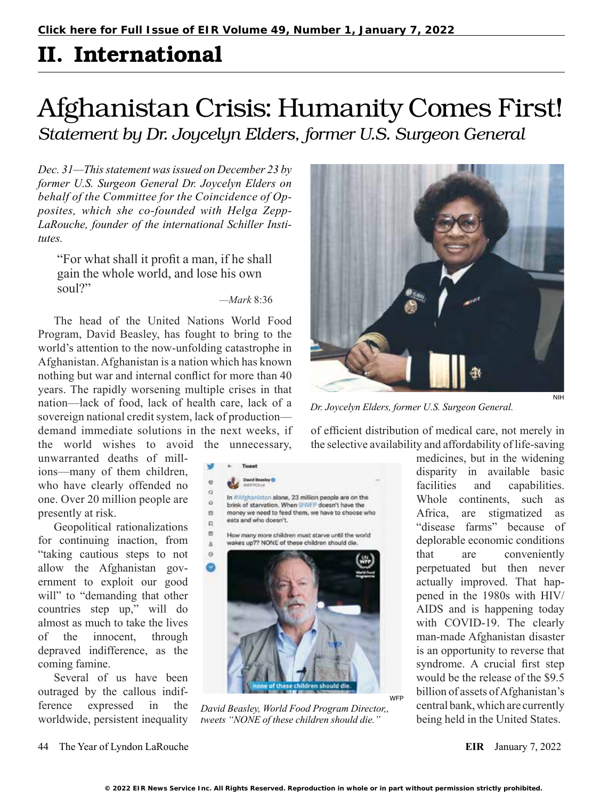## II. International

## Afghanistan Crisis: Humanity Comes First! *Statement by Dr. Joycelyn Elders, former U.S. Surgeon General*

*Dec. 31—This statement was issued on December 23 by former U.S. Surgeon General Dr. Joycelyn Elders on behalf of the Committee for the Coincidence of Opposites, which she co-founded with Helga Zepp-LaRouche, founder of the international Schiller Institutes.*

"For what shall it profit a man, if he shall gain the whole world, and lose his own soul?"

## *—Mark* 8:36

**David Beasing O** 

The head of the United Nations World Food Program, David Beasley, has fought to bring to the world's attention to the now-unfolding catastrophe in Afghanistan. Afghanistan is a nation which has known nothing but war and internal conflict for more than 40 years. The rapidly worsening multiple crises in that nation—lack of food, lack of health care, lack of a sovereign national credit system, lack of production demand immediate solutions in the next weeks, if the world wishes to avoid the unnecessary,

unwarranted deaths of millions—many of them children, who have clearly offended no one. Over 20 million people are presently at risk.

Geopolitical rationalizations for continuing inaction, from "taking cautious steps to not allow the Afghanistan government to exploit our good will" to "demanding that other countries step up," will do almost as much to take the lives of the innocent, through depraved indifference, as the coming famine.

Several of us have been outraged by the callous indifference expressed in the worldwide, persistent inequality



*Dr. Joycelyn Elders, former U.S. Surgeon General.*

of efficient distribution of medical care, not merely in the selective availability and affordability of life-saving

> medicines, but in the widening disparity in available basic facilities and capabilities. Whole continents, such as Africa, are stigmatized as "disease farms" because of deplorable economic conditions that are conveniently perpetuated but then never actually improved. That happened in the 1980s with HIV/ AIDS and is happening today with COVID-19. The clearly man-made Afghanistan disaster is an opportunity to reverse that syndrome. A crucial first step would be the release of the \$9.5 billion of assets of Afghanistan's central bank, which are currently being held in the United States.



*David Beasley, World Food Program Director,, tweets "NONE of these children should die."*